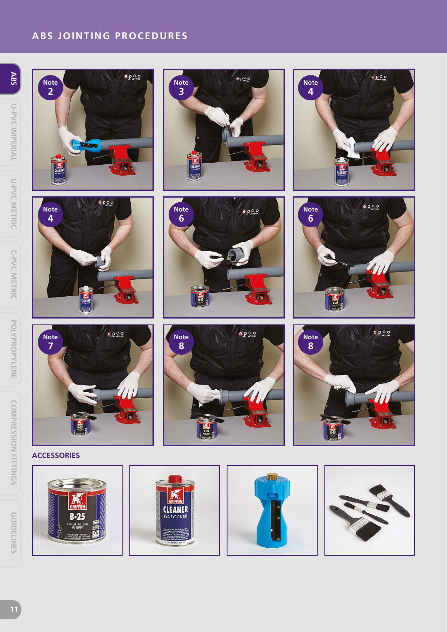# **ABS JOINTING PROCEDURES**







epco













**ACCESSORIES**

**Note 7**